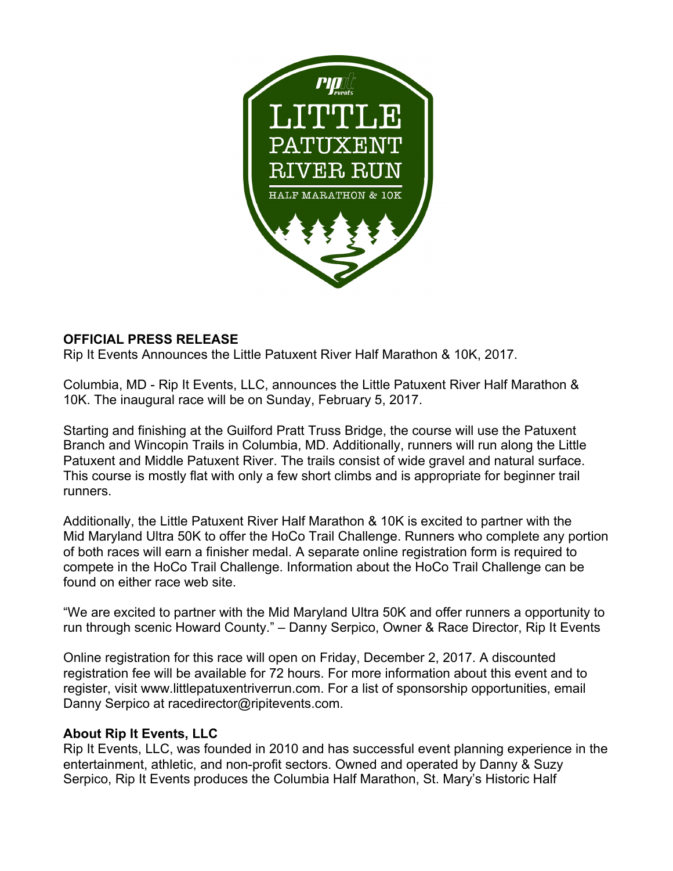

## **OFFICIAL PRESS RELEASE**

Rip It Events Announces the Little Patuxent River Half Marathon & 10K, 2017.

Columbia, MD - Rip It Events, LLC, announces the Little Patuxent River Half Marathon & 10K. The inaugural race will be on Sunday, February 5, 2017.

Starting and finishing at the Guilford Pratt Truss Bridge, the course will use the Patuxent Branch and Wincopin Trails in Columbia, MD. Additionally, runners will run along the Little Patuxent and Middle Patuxent River. The trails consist of wide gravel and natural surface. This course is mostly flat with only a few short climbs and is appropriate for beginner trail runners.

Additionally, the Little Patuxent River Half Marathon & 10K is excited to partner with the Mid Maryland Ultra 50K to offer the HoCo Trail Challenge. Runners who complete any portion of both races will earn a finisher medal. A separate online registration form is required to compete in the HoCo Trail Challenge. Information about the HoCo Trail Challenge can be found on either race web site.

"We are excited to partner with the Mid Maryland Ultra 50K and offer runners a opportunity to run through scenic Howard County." – Danny Serpico, Owner & Race Director, Rip It Events

Online registration for this race will open on Friday, December 2, 2017. A discounted registration fee will be available for 72 hours. For more information about this event and to register, visit www.littlepatuxentriverrun.com. For a list of sponsorship opportunities, email Danny Serpico at racedirector@ripitevents.com.

## **About Rip It Events, LLC**

Rip It Events, LLC, was founded in 2010 and has successful event planning experience in the entertainment, athletic, and non-profit sectors. Owned and operated by Danny & Suzy Serpico, Rip It Events produces the Columbia Half Marathon, St. Mary's Historic Half